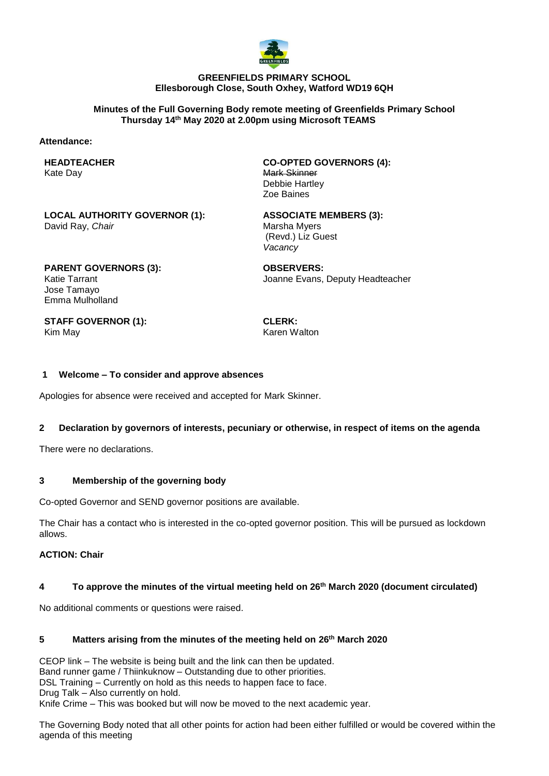

#### **GREENFIELDS PRIMARY SCHOOL Ellesborough Close, South Oxhey, Watford WD19 6QH**

#### **Minutes of the Full Governing Body remote meeting of Greenfields Primary School Thursday 14th May 2020 at 2.00pm using Microsoft TEAMS**

#### **Attendance:**

**HEADTEACHER** Kate Day

**CO-OPTED GOVERNORS (4):** Mark Skinner Debbie Hartley Zoe Baines

**LOCAL AUTHORITY GOVERNOR (1):** David Ray, *Chair*

**ASSOCIATE MEMBERS (3):** Marsha Myers (Revd.) Liz Guest *Vacancy*

**PARENT GOVERNORS (3):** Katie Tarrant Jose Tamayo Emma Mulholland

**OBSERVERS:** Joanne Evans, Deputy Headteacher

**STAFF GOVERNOR (1):** Kim May

**CLERK:** Karen Walton

### **1 Welcome – To consider and approve absences**

Apologies for absence were received and accepted for Mark Skinner.

# **2 Declaration by governors of interests, pecuniary or otherwise, in respect of items on the agenda**

There were no declarations.

## **3 Membership of the governing body**

Co-opted Governor and SEND governor positions are available.

The Chair has a contact who is interested in the co-opted governor position. This will be pursued as lockdown allows.

# **ACTION: Chair**

#### **4 To approve the minutes of the virtual meeting held on 26th March 2020 (document circulated)**

No additional comments or questions were raised.

# **5 Matters arising from the minutes of the meeting held on 26th March 2020**

CEOP link – The website is being built and the link can then be updated. Band runner game / Thiinkuknow – Outstanding due to other priorities. DSL Training – Currently on hold as this needs to happen face to face. Drug Talk – Also currently on hold. Knife Crime – This was booked but will now be moved to the next academic year.

The Governing Body noted that all other points for action had been either fulfilled or would be covered within the agenda of this meeting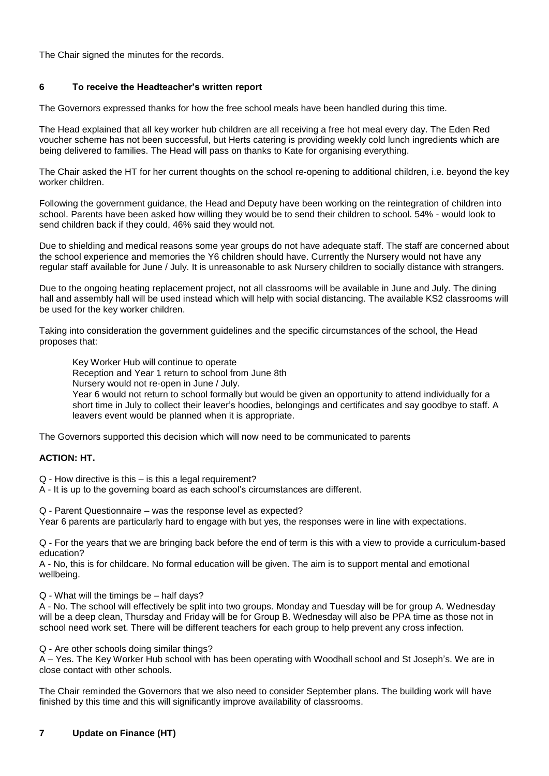The Chair signed the minutes for the records.

## **6 To receive the Headteacher's written report**

The Governors expressed thanks for how the free school meals have been handled during this time.

The Head explained that all key worker hub children are all receiving a free hot meal every day. The Eden Red voucher scheme has not been successful, but Herts catering is providing weekly cold lunch ingredients which are being delivered to families. The Head will pass on thanks to Kate for organising everything.

The Chair asked the HT for her current thoughts on the school re-opening to additional children, i.e. beyond the key worker children.

Following the government guidance, the Head and Deputy have been working on the reintegration of children into school. Parents have been asked how willing they would be to send their children to school. 54% - would look to send children back if they could, 46% said they would not.

Due to shielding and medical reasons some year groups do not have adequate staff. The staff are concerned about the school experience and memories the Y6 children should have. Currently the Nursery would not have any regular staff available for June / July. It is unreasonable to ask Nursery children to socially distance with strangers.

Due to the ongoing heating replacement project, not all classrooms will be available in June and July. The dining hall and assembly hall will be used instead which will help with social distancing. The available KS2 classrooms will be used for the key worker children.

Taking into consideration the government guidelines and the specific circumstances of the school, the Head proposes that:

Key Worker Hub will continue to operate

Reception and Year 1 return to school from June 8th

Nursery would not re-open in June / July.

Year 6 would not return to school formally but would be given an opportunity to attend individually for a short time in July to collect their leaver's hoodies, belongings and certificates and say goodbye to staff. A leavers event would be planned when it is appropriate.

The Governors supported this decision which will now need to be communicated to parents

# **ACTION: HT.**

Q - How directive is this – is this a legal requirement?

A - It is up to the governing board as each school's circumstances are different.

Q - Parent Questionnaire – was the response level as expected? Year 6 parents are particularly hard to engage with but yes, the responses were in line with expectations.

Q - For the years that we are bringing back before the end of term is this with a view to provide a curriculum-based education?

A - No, this is for childcare. No formal education will be given. The aim is to support mental and emotional wellbeing.

Q - What will the timings be – half days?

A - No. The school will effectively be split into two groups. Monday and Tuesday will be for group A. Wednesday will be a deep clean, Thursday and Friday will be for Group B. Wednesday will also be PPA time as those not in school need work set. There will be different teachers for each group to help prevent any cross infection.

Q - Are other schools doing similar things?

A – Yes. The Key Worker Hub school with has been operating with Woodhall school and St Joseph's. We are in close contact with other schools.

The Chair reminded the Governors that we also need to consider September plans. The building work will have finished by this time and this will significantly improve availability of classrooms.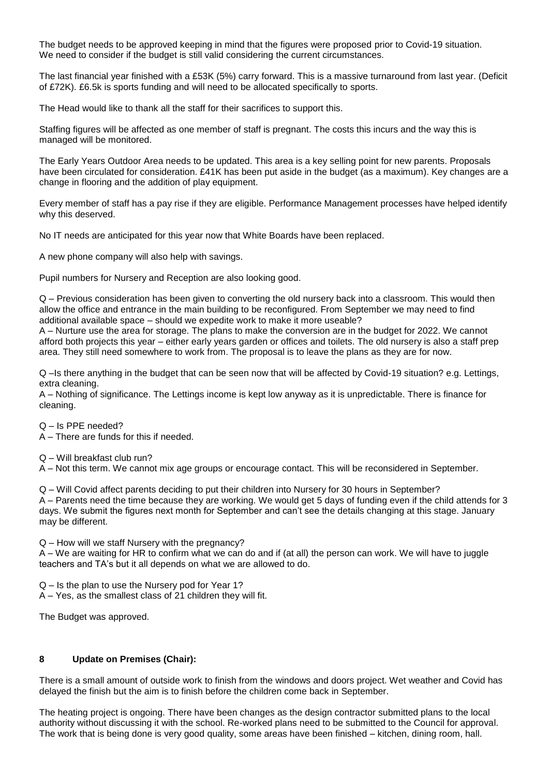The budget needs to be approved keeping in mind that the figures were proposed prior to Covid-19 situation. We need to consider if the budget is still valid considering the current circumstances.

The last financial year finished with a £53K (5%) carry forward. This is a massive turnaround from last year. (Deficit of £72K). £6.5k is sports funding and will need to be allocated specifically to sports.

The Head would like to thank all the staff for their sacrifices to support this.

Staffing figures will be affected as one member of staff is pregnant. The costs this incurs and the way this is managed will be monitored.

The Early Years Outdoor Area needs to be updated. This area is a key selling point for new parents. Proposals have been circulated for consideration. £41K has been put aside in the budget (as a maximum). Key changes are a change in flooring and the addition of play equipment.

Every member of staff has a pay rise if they are eligible. Performance Management processes have helped identify why this deserved.

No IT needs are anticipated for this year now that White Boards have been replaced.

A new phone company will also help with savings.

Pupil numbers for Nursery and Reception are also looking good.

Q – Previous consideration has been given to converting the old nursery back into a classroom. This would then allow the office and entrance in the main building to be reconfigured. From September we may need to find additional available space – should we expedite work to make it more useable?

A – Nurture use the area for storage. The plans to make the conversion are in the budget for 2022. We cannot afford both projects this year – either early years garden or offices and toilets. The old nursery is also a staff prep area. They still need somewhere to work from. The proposal is to leave the plans as they are for now.

Q –Is there anything in the budget that can be seen now that will be affected by Covid-19 situation? e.g. Lettings, extra cleaning.

A – Nothing of significance. The Lettings income is kept low anyway as it is unpredictable. There is finance for cleaning.

Q – Is PPE needed?

A – There are funds for this if needed.

Q – Will breakfast club run?

A – Not this term. We cannot mix age groups or encourage contact. This will be reconsidered in September.

Q – Will Covid affect parents deciding to put their children into Nursery for 30 hours in September? A – Parents need the time because they are working. We would get 5 days of funding even if the child attends for 3 days. We submit the figures next month for September and can't see the details changing at this stage. January may be different.

Q – How will we staff Nursery with the pregnancy?

A – We are waiting for HR to confirm what we can do and if (at all) the person can work. We will have to juggle teachers and TA's but it all depends on what we are allowed to do.

Q – Is the plan to use the Nursery pod for Year 1?

A – Yes, as the smallest class of 21 children they will fit.

The Budget was approved.

#### **8 Update on Premises (Chair):**

There is a small amount of outside work to finish from the windows and doors project. Wet weather and Covid has delayed the finish but the aim is to finish before the children come back in September.

The heating project is ongoing. There have been changes as the design contractor submitted plans to the local authority without discussing it with the school. Re-worked plans need to be submitted to the Council for approval. The work that is being done is very good quality, some areas have been finished – kitchen, dining room, hall.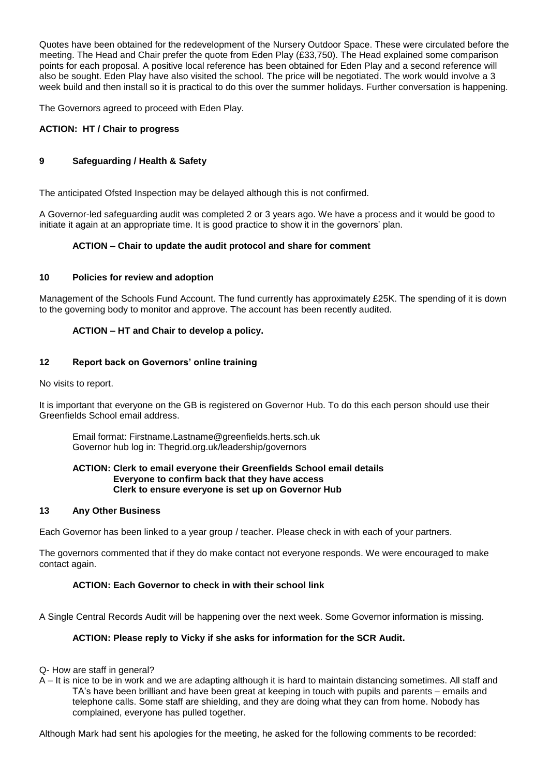Quotes have been obtained for the redevelopment of the Nursery Outdoor Space. These were circulated before the meeting. The Head and Chair prefer the quote from Eden Play (£33,750). The Head explained some comparison points for each proposal. A positive local reference has been obtained for Eden Play and a second reference will also be sought. Eden Play have also visited the school. The price will be negotiated. The work would involve a 3 week build and then install so it is practical to do this over the summer holidays. Further conversation is happening.

The Governors agreed to proceed with Eden Play.

# **ACTION: HT / Chair to progress**

# **9 Safeguarding / Health & Safety**

The anticipated Ofsted Inspection may be delayed although this is not confirmed.

A Governor-led safeguarding audit was completed 2 or 3 years ago. We have a process and it would be good to initiate it again at an appropriate time. It is good practice to show it in the governors' plan.

# **ACTION – Chair to update the audit protocol and share for comment**

## **10 Policies for review and adoption**

Management of the Schools Fund Account. The fund currently has approximately £25K. The spending of it is down to the governing body to monitor and approve. The account has been recently audited.

# **ACTION – HT and Chair to develop a policy.**

### **12 Report back on Governors' online training**

No visits to report.

It is important that everyone on the GB is registered on Governor Hub. To do this each person should use their Greenfields School email address.

Email format: Firstname.Lastname@greenfields.herts.sch.uk Governor hub log in: Thegrid.org.uk/leadership/governors

#### **ACTION: Clerk to email everyone their Greenfields School email details Everyone to confirm back that they have access Clerk to ensure everyone is set up on Governor Hub**

#### **13 Any Other Business**

Each Governor has been linked to a year group / teacher. Please check in with each of your partners.

The governors commented that if they do make contact not everyone responds. We were encouraged to make contact again.

#### **ACTION: Each Governor to check in with their school link**

A Single Central Records Audit will be happening over the next week. Some Governor information is missing.

# **ACTION: Please reply to Vicky if she asks for information for the SCR Audit.**

- Q- How are staff in general?
- A It is nice to be in work and we are adapting although it is hard to maintain distancing sometimes. All staff and TA's have been brilliant and have been great at keeping in touch with pupils and parents – emails and telephone calls. Some staff are shielding, and they are doing what they can from home. Nobody has complained, everyone has pulled together.

Although Mark had sent his apologies for the meeting, he asked for the following comments to be recorded: